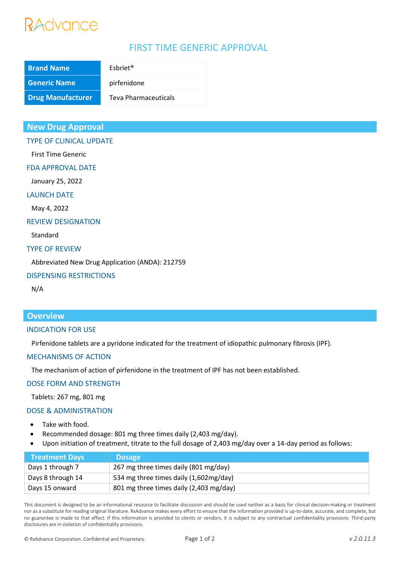# RAdvance

# FIRST TIME GENERIC APPROVAL

| <b>Brand Name</b>        | Esbriet <sup>®</sup> |
|--------------------------|----------------------|
| <b>Generic Name</b>      | pirfenidone          |
| <b>Drug Manufacturer</b> | Teva Pharmaceuticals |

### **New Drug Approval**

#### TYPE OF CLINICAL UPDATE

First Time Generic

#### FDA APPROVAL DATE

January 25, 2022

### LAUNCH DATE

May 4, 2022

#### REVIEW DESIGNATION

Standard

#### TYPE OF REVIEW

Abbreviated New Drug Application (ANDA): 212759

#### DISPENSING RESTRICTIONS

N/A

## **Overview**

#### INDICATION FOR USE

Pirfenidone tablets are a pyridone indicated for the treatment of idiopathic pulmonary fibrosis (IPF).

#### MECHANISMS OF ACTION

The mechanism of action of pirfenidone in the treatment of IPF has not been established.

#### DOSE FORM AND STRENGTH

Tablets: 267 mg, 801 mg

#### DOSE & ADMINISTRATION

- Take with food.
- Recommended dosage: 801 mg three times daily (2,403 mg/day).
- Upon initiation of treatment, titrate to the full dosage of 2,403 mg/day over a 14-day period as follows:

| <b>Treatment Days</b> | <b>Dosage</b>                           |
|-----------------------|-----------------------------------------|
| Days 1 through 7      | 267 mg three times daily (801 mg/day)   |
| Days 8 through 14     | 534 mg three times daily (1,602mg/day)  |
| Days 15 onward        | 801 mg three times daily (2,403 mg/day) |

This document is designed to be an informational resource to facilitate discussion and should be used neither as a basis for clinical decision-making or treatment nor as a substitute for reading original literature. RxAdvance makes every effort to ensure that the information provided is up-to-date, accurate, and complete, but no guarantee is made to that effect. If this information is provided to clients or vendors, it is subject to any contractual confidentiality provisions. Third-party disclosures are in violation of confidentiality provisions.